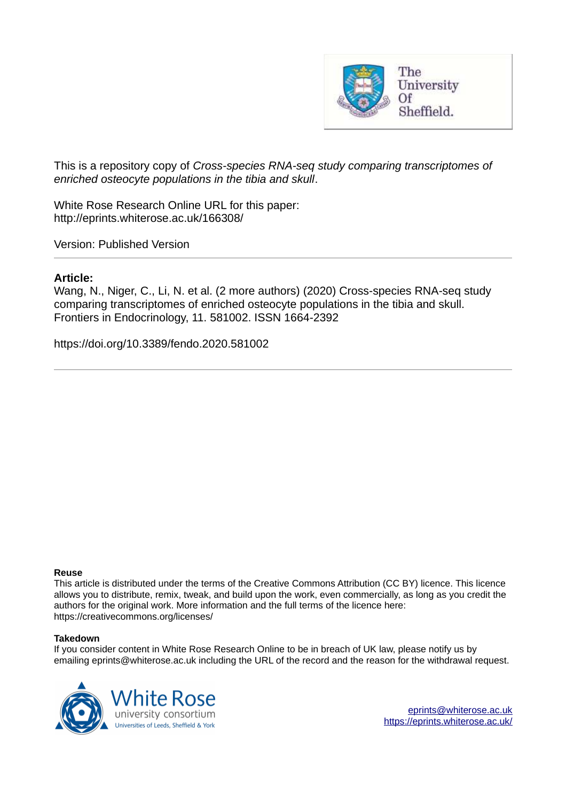

This is a repository copy of *Cross-species RNA-seq study comparing transcriptomes of enriched osteocyte populations in the tibia and skull*.

White Rose Research Online URL for this paper: http://eprints.whiterose.ac.uk/166308/

Version: Published Version

#### **Article:**

Wang, N., Niger, C., Li, N. et al. (2 more authors) (2020) Cross-species RNA-seq study comparing transcriptomes of enriched osteocyte populations in the tibia and skull. Frontiers in Endocrinology, 11. 581002. ISSN 1664-2392

https://doi.org/10.3389/fendo.2020.581002

#### **Reuse**

This article is distributed under the terms of the Creative Commons Attribution (CC BY) licence. This licence allows you to distribute, remix, tweak, and build upon the work, even commercially, as long as you credit the authors for the original work. More information and the full terms of the licence here: https://creativecommons.org/licenses/

#### **Takedown**

If you consider content in White Rose Research Online to be in breach of UK law, please notify us by emailing eprints@whiterose.ac.uk including the URL of the record and the reason for the withdrawal request.

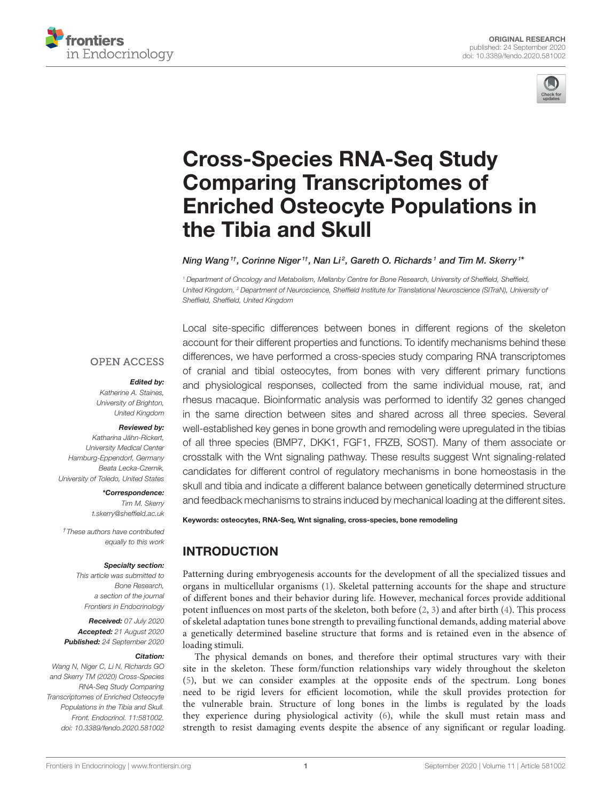



# Cross-Species RNA-Seq Study Comparing Transcriptomes of [Enriched Osteocyte Populations in](https://www.frontiersin.org/articles/10.3389/fendo.2020.581002/full) the Tibia and Skull

Ning Wang  $^{1t}$ , Corinne Niger  $^{1t}$ , Nan Li $^2$ , Gareth O. Richards  $^1$  and Tim M. Skerry  $^{1*}$ 

<sup>1</sup> Department of Oncology and Metabolism, Mellanby Centre for Bone Research, University of Sheffield, Sheffield, United Kingdom, <sup>2</sup> Department of Neuroscience, Sheffield Institute for Translational Neuroscience (SITraN), University of Sheffield, Sheffield, United Kingdom

#### **OPEN ACCESS**

#### Edited by:

Katherine A. Staines, University of Brighton, United Kingdom

#### Reviewed by:

Katharina Jähn-Rickert, University Medical Center Hamburg-Eppendorf, Germany Beata Lecka-Czernik, University of Toledo, United States

> \*Correspondence: Tim M. Skerry [t.skerry@sheffield.ac.uk](mailto:t.skerry@sheffield.ac.uk)

†These authors have contributed equally to this work

#### Specialty section:

This article was submitted to Bone Research, a section of the journal Frontiers in Endocrinology

Received: 07 July 2020 Accepted: 21 August 2020 Published: 24 September 2020

#### Citation:

Wang N, Niger C, Li N, Richards GO and Skerry TM (2020) Cross-Species RNA-Seq Study Comparing Transcriptomes of Enriched Osteocyte Populations in the Tibia and Skull. Front. Endocrinol. 11:581002. doi: [10.3389/fendo.2020.581002](https://doi.org/10.3389/fendo.2020.581002) Local site-specific differences between bones in different regions of the skeleton account for their different properties and functions. To identify mechanisms behind these differences, we have performed a cross-species study comparing RNA transcriptomes of cranial and tibial osteocytes, from bones with very different primary functions and physiological responses, collected from the same individual mouse, rat, and rhesus macaque. Bioinformatic analysis was performed to identify 32 genes changed in the same direction between sites and shared across all three species. Several well-established key genes in bone growth and remodeling were upregulated in the tibias of all three species (BMP7, DKK1, FGF1, FRZB, SOST). Many of them associate or crosstalk with the Wnt signaling pathway. These results suggest Wnt signaling-related candidates for different control of regulatory mechanisms in bone homeostasis in the skull and tibia and indicate a different balance between genetically determined structure and feedback mechanisms to strains induced by mechanical loading at the different sites.

#### Keywords: osteocytes, RNA-Seq, Wnt signaling, cross-species, bone remodeling

# INTRODUCTION

Patterning during embryogenesis accounts for the development of all the specialized tissues and organs in multicellular organisms [\(1\)](#page-9-0). Skeletal patterning accounts for the shape and structure of different bones and their behavior during life. However, mechanical forces provide additional potent influences on most parts of the skeleton, both before [\(2,](#page-9-1) [3\)](#page-9-2) and after birth [\(4\)](#page-9-3). This process of skeletal adaptation tunes bone strength to prevailing functional demands, adding material above a genetically determined baseline structure that forms and is retained even in the absence of loading stimuli.

The physical demands on bones, and therefore their optimal structures vary with their site in the skeleton. These form/function relationships vary widely throughout the skeleton [\(5\)](#page-9-4), but we can consider examples at the opposite ends of the spectrum. Long bones need to be rigid levers for efficient locomotion, while the skull provides protection for the vulnerable brain. Structure of long bones in the limbs is regulated by the loads they experience during physiological activity [\(6\)](#page-9-5), while the skull must retain mass and strength to resist damaging events despite the absence of any significant or regular loading.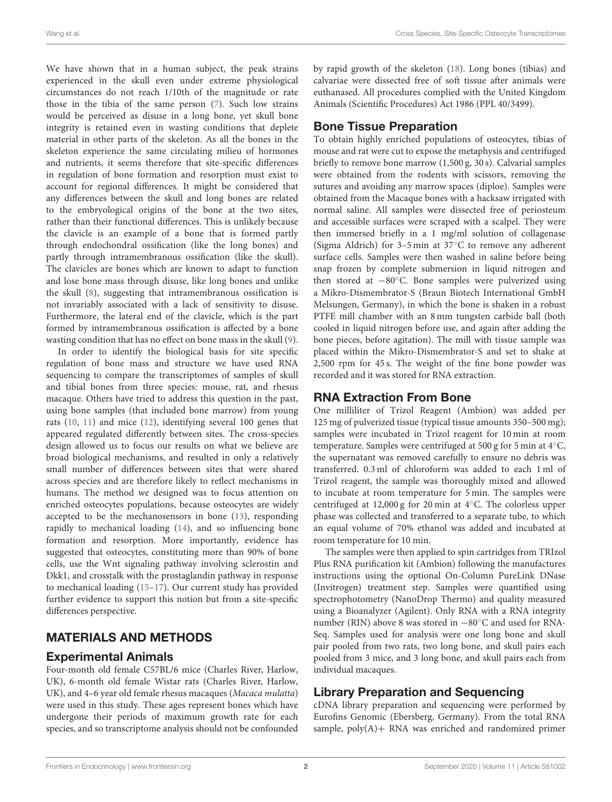We have shown that in a human subject, the peak strains experienced in the skull even under extreme physiological circumstances do not reach 1/10th of the magnitude or rate those in the tibia of the same person [\(7\)](#page-9-6). Such low strains would be perceived as disuse in a long bone, yet skull bone integrity is retained even in wasting conditions that deplete material in other parts of the skeleton. As all the bones in the skeleton experience the same circulating milieu of hormones and nutrients, it seems therefore that site-specific differences in regulation of bone formation and resorption must exist to account for regional differences. It might be considered that any differences between the skull and long bones are related to the embryological origins of the bone at the two sites, rather than their functional differences. This is unlikely because the clavicle is an example of a bone that is formed partly through endochondral ossification (like the long bones) and partly through intramembranous ossification (like the skull). The clavicles are bones which are known to adapt to function and lose bone mass through disuse, like long bones and unlike the skull [\(8\)](#page-9-7), suggesting that intramembranous ossification is not invariably associated with a lack of sensitivity to disuse. Furthermore, the lateral end of the clavicle, which is the part formed by intramembranous ossification is affected by a bone wasting condition that has no effect on bone mass in the skull [\(9\)](#page-9-8).

In order to identify the biological basis for site specific regulation of bone mass and structure we have used RNA sequencing to compare the transcriptomes of samples of skull and tibial bones from three species: mouse, rat, and rhesus macaque. Others have tried to address this question in the past, using bone samples (that included bone marrow) from young rats [\(10,](#page-9-9) [11\)](#page-9-10) and mice [\(12\)](#page-9-11), identifying several 100 genes that appeared regulated differently between sites. The cross-species design allowed us to focus our results on what we believe are broad biological mechanisms, and resulted in only a relatively small number of differences between sites that were shared across species and are therefore likely to reflect mechanisms in humans. The method we designed was to focus attention on enriched osteocytes populations, because osteocytes are widely accepted to be the mechanosensors in bone [\(13\)](#page-9-12), responding rapidly to mechanical loading [\(14\)](#page-9-13), and so influencing bone formation and resorption. More importantly, evidence has suggested that osteocytes, constituting more than 90% of bone cells, use the Wnt signaling pathway involving sclerostin and Dkk1, and crosstalk with the prostaglandin pathway in response to mechanical loading [\(15](#page-9-14)[–17\)](#page-9-15). Our current study has provided further evidence to support this notion but from a site-specific differences perspective.

### MATERIALS AND METHODS

#### Experimental Animals

Four-month old female C57BL/6 mice (Charles River, Harlow, UK), 6-month old female Wistar rats (Charles River, Harlow, UK), and 4–6 year old female rhesus macaques (Macaca mulatta) were used in this study. These ages represent bones which have undergone their periods of maximum growth rate for each species, and so transcriptome analysis should not be confounded

by rapid growth of the skeleton [\(18\)](#page-9-16). Long bones (tibias) and calvariae were dissected free of soft tissue after animals were euthanased. All procedures complied with the United Kingdom Animals (Scientific Procedures) Act 1986 (PPL 40/3499).

### Bone Tissue Preparation

To obtain highly enriched populations of osteocytes, tibias of mouse and rat were cut to expose the metaphysis and centrifuged briefly to remove bone marrow (1,500 g, 30 s). Calvarial samples were obtained from the rodents with scissors, removing the sutures and avoiding any marrow spaces (diploe). Samples were obtained from the Macaque bones with a hacksaw irrigated with normal saline. All samples were dissected free of periosteum and accessible surfaces were scraped with a scalpel. They were then immersed briefly in a 1 mg/ml solution of collagenase (Sigma Aldrich) for 3–5 min at 37◦C to remove any adherent surface cells. Samples were then washed in saline before being snap frozen by complete submersion in liquid nitrogen and then stored at −80◦C. Bone samples were pulverized using a Mikro-Dismembrator-S (Braun Biotech International GmbH Melsungen, Germany), in which the bone is shaken in a robust PTFE mill chamber with an 8 mm tungsten carbide ball (both cooled in liquid nitrogen before use, and again after adding the bone pieces, before agitation). The mill with tissue sample was placed within the Mikro-Dismembrator-S and set to shake at 2,500 rpm for 45 s. The weight of the fine bone powder was recorded and it was stored for RNA extraction.

### RNA Extraction From Bone

One milliliter of Trizol Reagent (Ambion) was added per 125 mg of pulverized tissue (typical tissue amounts 350–500 mg); samples were incubated in Trizol reagent for 10 min at room temperature. Samples were centrifuged at 500 g for 5 min at 4◦C, the supernatant was removed carefully to ensure no debris was transferred. 0.3 ml of chloroform was added to each 1 ml of Trizol reagent, the sample was thoroughly mixed and allowed to incubate at room temperature for 5 min. The samples were centrifuged at 12,000 g for 20 min at 4◦C. The colorless upper phase was collected and transferred to a separate tube, to which an equal volume of 70% ethanol was added and incubated at room temperature for 10 min.

The samples were then applied to spin cartridges from TRIzol Plus RNA purification kit (Ambion) following the manufactures instructions using the optional On-Column PureLink DNase (Invitrogen) treatment step. Samples were quantified using spectrophotometry (NanoDrop Thermo) and quality measured using a Bioanalyzer (Agilent). Only RNA with a RNA integrity number (RIN) above 8 was stored in −80◦C and used for RNA-Seq. Samples used for analysis were one long bone and skull pair pooled from two rats, two long bone, and skull pairs each pooled from 3 mice, and 3 long bone, and skull pairs each from individual macaques.

### Library Preparation and Sequencing

cDNA library preparation and sequencing were performed by Eurofins Genomic (Ebersberg, Germany). From the total RNA sample, poly(A)+ RNA was enriched and randomized primer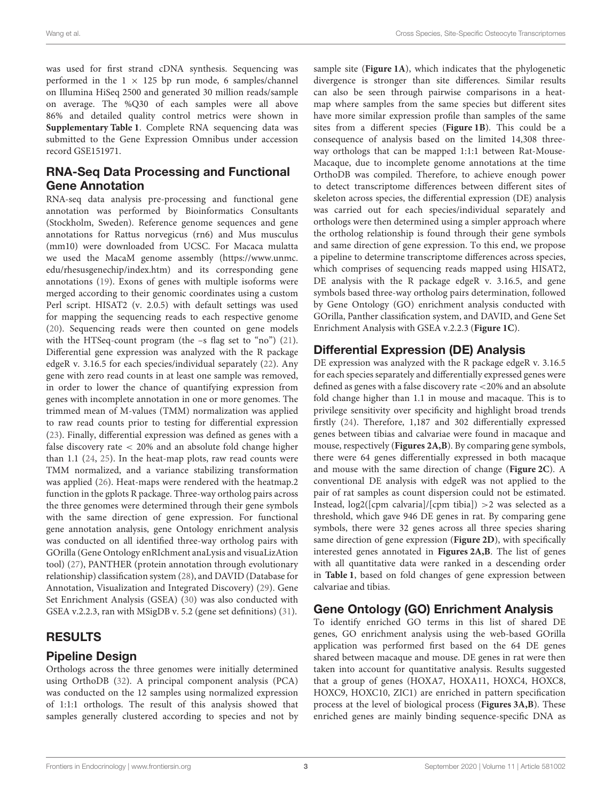was used for first strand cDNA synthesis. Sequencing was performed in the  $1 \times 125$  bp run mode, 6 samples/channel on Illumina HiSeq 2500 and generated 30 million reads/sample on average. The %Q30 of each samples were all above 86% and detailed quality control metrics were shown in **[Supplementary Table 1](#page-9-17)**. Complete RNA sequencing data was submitted to the Gene Expression Omnibus under accession record GSE151971.

### RNA-Seq Data Processing and Functional Gene Annotation

<span id="page-3-0"></span>RNA-seq data analysis pre-processing and functional gene annotation was performed by Bioinformatics Consultants (Stockholm, Sweden). Reference genome sequences and gene annotations for Rattus norvegicus (rn6) and Mus musculus (mm10) were downloaded from UCSC. For Macaca mulatta we used the MacaM genome assembly [\(https://www.unmc.](https://www.unmc.edu/rhesusgenechip/index.htm) [edu/rhesusgenechip/index.htm\)](https://www.unmc.edu/rhesusgenechip/index.htm) and its corresponding gene annotations [\(19\)](#page-9-18). Exons of genes with multiple isoforms were merged according to their genomic coordinates using a custom Perl script. HISAT2 (v. 2.0.5) with default settings was used for mapping the sequencing reads to each respective genome [\(20\)](#page-9-19). Sequencing reads were then counted on gene models with the HTSeq-count program (the -s flag set to "no") [\(21\)](#page-9-20). Differential gene expression was analyzed with the R package edgeR v. 3.16.5 for each species/individual separately [\(22\)](#page-9-21). Any gene with zero read counts in at least one sample was removed, in order to lower the chance of quantifying expression from genes with incomplete annotation in one or more genomes. The trimmed mean of M-values (TMM) normalization was applied to raw read counts prior to testing for differential expression [\(23\)](#page-9-22). Finally, differential expression was defined as genes with a false discovery rate < 20% and an absolute fold change higher than 1.1 [\(24,](#page-9-23) [25\)](#page-9-24). In the heat-map plots, raw read counts were TMM normalized, and a variance stabilizing transformation was applied [\(26\)](#page-9-25). Heat-maps were rendered with the heatmap.2 function in the gplots R package. Three-way ortholog pairs across the three genomes were determined through their gene symbols with the same direction of gene expression. For functional gene annotation analysis, gene Ontology enrichment analysis was conducted on all identified three-way ortholog pairs with GOrilla (Gene Ontology enRIchment anaLysis and visuaLizAtion tool) [\(27\)](#page-10-0), PANTHER (protein annotation through evolutionary relationship) classification system [\(28\)](#page-10-1), and DAVID (Database for Annotation, Visualization and Integrated Discovery) [\(29\)](#page-10-2). Gene Set Enrichment Analysis (GSEA) [\(30\)](#page-10-3) was also conducted with GSEA v.2.2.3, ran with MSigDB v. 5.2 (gene set definitions) [\(31\)](#page-10-4).

### RESULTS

#### Pipeline Design

Orthologs across the three genomes were initially determined using OrthoDB [\(32\)](#page-10-5). A principal component analysis (PCA) was conducted on the 12 samples using normalized expression of 1:1:1 orthologs. The result of this analysis showed that samples generally clustered according to species and not by sample site (**[Figure 1A](#page-3-0)**), which indicates that the phylogenetic divergence is stronger than site differences. Similar results can also be seen through pairwise comparisons in a heatmap where samples from the same species but different sites have more similar expression profile than samples of the same sites from a different species (**[Figure 1B](#page-3-0)**). This could be a consequence of analysis based on the limited 14,308 threeway orthologs that can be mapped 1:1:1 between Rat-Mouse-Macaque, due to incomplete genome annotations at the time OrthoDB was compiled. Therefore, to achieve enough power to detect transcriptome differences between different sites of skeleton across species, the differential expression (DE) analysis was carried out for each species/individual separately and orthologs were then determined using a simpler approach where the ortholog relationship is found through their gene symbols and same direction of gene expression. To this end, we propose a pipeline to determine transcriptome differences across species, which comprises of sequencing reads mapped using HISAT2, DE analysis with the R package edgeR v. 3.16.5, and gene symbols based three-way ortholog pairs determination, followed by Gene Ontology (GO) enrichment analysis conducted with GOrilla, Panther classification system, and DAVID, and Gene Set Enrichment Analysis with GSEA v.2.2.3 (**[Figure 1C](#page-3-0)**).

# Differential Expression (DE) Analysis

DE expression was analyzed with the R package edgeR v. 3.16.5 for each species separately and differentially expressed genes were defined as genes with a false discovery rate <20% and an absolute fold change higher than 1.1 in mouse and macaque. This is to privilege sensitivity over specificity and highlight broad trends firstly [\(24\)](#page-9-23). Therefore, 1,187 and 302 differentially expressed genes between tibias and calvariae were found in macaque and mouse, respectively (**[Figures 2A,B](#page-4-0)**). By comparing gene symbols, there were 64 genes differentially expressed in both macaque and mouse with the same direction of change (**[Figure 2C](#page-4-0)**). A conventional DE analysis with edgeR was not applied to the pair of rat samples as count dispersion could not be estimated. Instead,  $log2([cpm \text{ calvarial}]/[cpm \text{ tibia}]) > 2$  was selected as a threshold, which gave 946 DE genes in rat. By comparing gene symbols, there were 32 genes across all three species sharing same direction of gene expression (**[Figure 2D](#page-4-0)**), with specifically interested genes annotated in **[Figures 2A,B](#page-4-0)**. The list of genes with all quantitative data were ranked in a descending order in **[Table 1](#page-5-0)**, based on fold changes of gene expression between calvariae and tibias.

# Gene Ontology (GO) Enrichment Analysis

To identify enriched GO terms in this list of shared DE genes, GO enrichment analysis using the web-based GOrilla application was performed first based on the 64 DE genes shared between macaque and mouse. DE genes in rat were then taken into account for quantitative analysis. Results suggested that a group of genes (HOXA7, HOXA11, HOXC4, HOXC8, HOXC9, HOXC10, ZIC1) are enriched in pattern specification process at the level of biological process (**[Figures 3A,B](#page-6-0)**). These enriched genes are mainly binding sequence-specific DNA as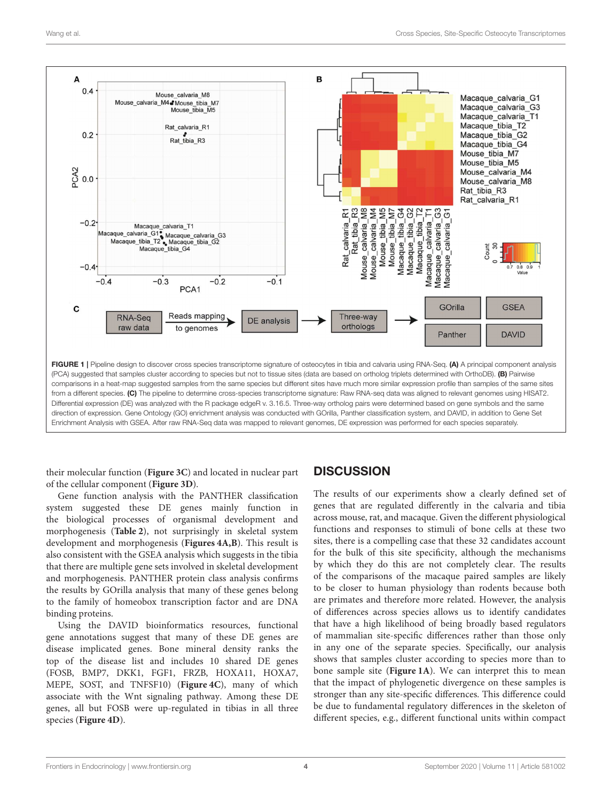

direction of expression. Gene Ontology (GO) enrichment analysis was conducted with GOrilla, Panther classification system, and DAVID, in addition to Gene Set Enrichment Analysis with GSEA. After raw RNA-Seq data was mapped to relevant genomes, DE expression was performed for each species separately.

their molecular function (**[Figure 3C](#page-6-0)**) and located in nuclear part of the cellular component (**[Figure 3D](#page-6-0)**).

<span id="page-4-0"></span>Gene function analysis with the PANTHER classification system suggested these DE genes mainly function in the biological processes of organismal development and morphogenesis (**[Table 2](#page-7-0)**), not surprisingly in skeletal system development and morphogenesis (**[Figures 4A,B](#page-8-0)**). This result is also consistent with the GSEA analysis which suggests in the tibia that there are multiple gene sets involved in skeletal development and morphogenesis. PANTHER protein class analysis confirms the results by GOrilla analysis that many of these genes belong to the family of homeobox transcription factor and are DNA binding proteins.

Using the DAVID bioinformatics resources, functional gene annotations suggest that many of these DE genes are disease implicated genes. Bone mineral density ranks the top of the disease list and includes 10 shared DE genes (FOSB, BMP7, DKK1, FGF1, FRZB, HOXA11, HOXA7, MEPE, SOST, and TNFSF10) (**[Figure 4C](#page-8-0)**), many of which associate with the Wnt signaling pathway. Among these DE genes, all but FOSB were up-regulated in tibias in all three species (**[Figure 4D](#page-8-0)**).

# **DISCUSSION**

The results of our experiments show a clearly defined set of genes that are regulated differently in the calvaria and tibia across mouse, rat, and macaque. Given the different physiological functions and responses to stimuli of bone cells at these two sites, there is a compelling case that these 32 candidates account for the bulk of this site specificity, although the mechanisms by which they do this are not completely clear. The results of the comparisons of the macaque paired samples are likely to be closer to human physiology than rodents because both are primates and therefore more related. However, the analysis of differences across species allows us to identify candidates that have a high likelihood of being broadly based regulators of mammalian site-specific differences rather than those only in any one of the separate species. Specifically, our analysis shows that samples cluster according to species more than to bone sample site (**[Figure 1A](#page-3-0)**). We can interpret this to mean that the impact of phylogenetic divergence on these samples is stronger than any site-specific differences. This difference could be due to fundamental regulatory differences in the skeleton of different species, e.g., different functional units within compact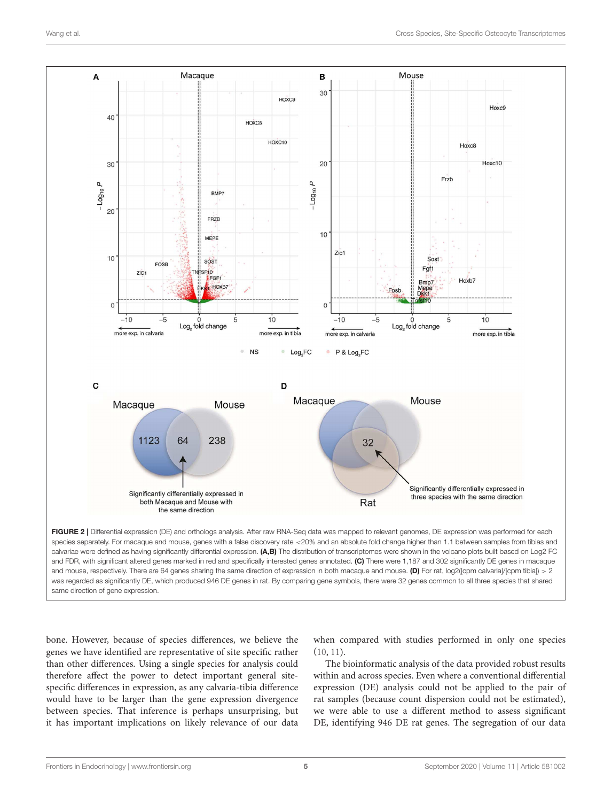

and FDR, with significant altered genes marked in red and specifically interested genes annotated. (C) There were 1,187 and 302 significantly DE genes in macaque and mouse, respectively. There are 64 genes sharing the same direction of expression in both macaque and mouse. (D) For rat, log2([cpm calvaria]/[cpm tibia]) > 2 was regarded as significantly DE, which produced 946 DE genes in rat. By comparing gene symbols, there were 32 genes common to all three species that shared same direction of gene expression.

bone. However, because of species differences, we believe the genes we have identified are representative of site specific rather than other differences. Using a single species for analysis could therefore affect the power to detect important general sitespecific differences in expression, as any calvaria-tibia difference would have to be larger than the gene expression divergence between species. That inference is perhaps unsurprising, but it has important implications on likely relevance of our data <span id="page-5-0"></span>when compared with studies performed in only one species [\(10,](#page-9-9) [11\)](#page-9-10).

The bioinformatic analysis of the data provided robust results within and across species. Even where a conventional differential expression (DE) analysis could not be applied to the pair of rat samples (because count dispersion could not be estimated), we were able to use a different method to assess significant DE, identifying 946 DE rat genes. The segregation of our data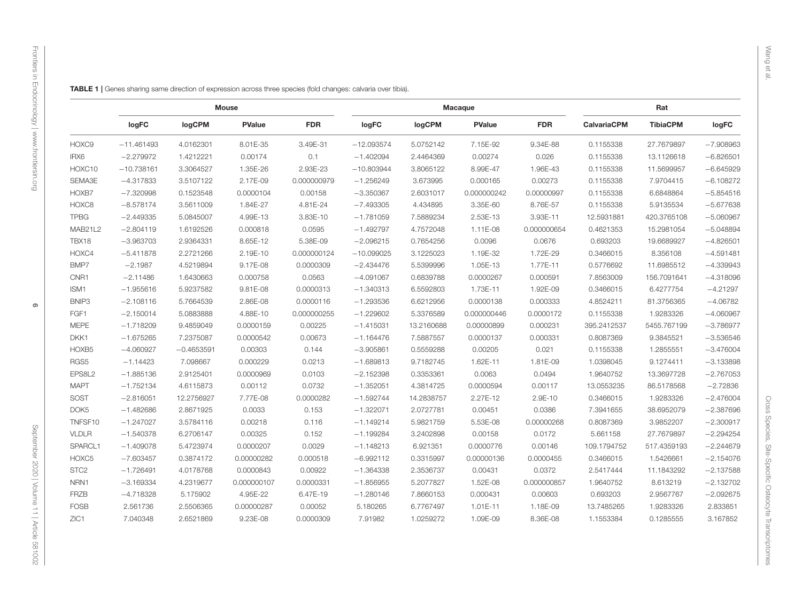<span id="page-6-0"></span> $\overline{\phantom{a}}$ 

|                  | logFC        | logCPM       | <b>PValue</b> | <b>FDR</b>  | logFC        | logCPM     | <b>PValue</b> | <b>FDR</b>  | <b>CalvariaCPM</b> | <b>TibiaCPM</b> | logFC       |
|------------------|--------------|--------------|---------------|-------------|--------------|------------|---------------|-------------|--------------------|-----------------|-------------|
| HOXC9            | $-11.461493$ | 4.0162301    | 8.01E-35      | 3.49E-31    | $-12.093574$ | 5.0752142  | 7.15E-92      | 9.34E-88    | 0.1155338          | 27.7679897      | $-7.908963$ |
| IRX6             | $-2.279972$  | 1.4212221    | 0.00174       | 0.1         | $-1.402094$  | 2.4464369  | 0.00274       | 0.026       | 0.1155338          | 13.1126618      | $-6.826501$ |
| HOXC10           | $-10.738161$ | 3.3064527    | 1.35E-26      | 2.93E-23    | $-10.803944$ | 3.8065122  | 8.99E-47      | 1.96E-43    | 0.1155338          | 11.5699957      | $-6.645929$ |
| SEMA3E           | $-4.317833$  | 3.5107122    | 2.17E-09      | 0.000000979 | $-1.256249$  | 3.673995   | 0.000165      | 0.00273     | 0.1155338          | 7.9704415       | $-6.108272$ |
| HOXB7            | $-7.320998$  | 0.1523548    | 0.0000104     | 0.00158     | $-3.350367$  | 2.6031017  | 0.000000242   | 0.00000997  | 0.1155338          | 6.6848864       | $-5.854516$ |
| HOXC8            | $-8.578174$  | 3.5611009    | 1.84E-27      | 4.81E-24    | $-7.493305$  | 4.434895   | 3.35E-60      | 8.76E-57    | 0.1155338          | 5.9135534       | $-5.677636$ |
| <b>TPBG</b>      | $-2.449335$  | 5.0845007    | 4.99E-13      | 3.83E-10    | $-1.781059$  | 7.5889234  | 2.53E-13      | 3.93E-11    | 12.5931881         | 420.3765108     | $-5.060967$ |
| MAB21L2          | $-2.804119$  | 1.6192526    | 0.000818      | 0.0595      | $-1.492797$  | 4.7572048  | 1.11E-08      | 0.000000654 | 0.4621353          | 15.2981054      | $-5.048894$ |
| TBX18            | $-3.963703$  | 2.9364331    | 8.65E-12      | 5.38E-09    | $-2.096215$  | 0.7654256  | 0.0096        | 0.0676      | 0.693203           | 19.6689927      | $-4.826501$ |
| HOXC4            | $-5.411878$  | 2.2721266    | 2.19E-10      | 0.000000124 | $-10.099025$ | 3.1225023  | 1.19E-32      | 1.72E-29    | 0.3466015          | 8.356108        | $-4.591481$ |
| BMP7             | $-2.1987$    | 4.5219894    | 9.17E-08      | 0.0000309   | $-2.434476$  | 5.5399996  | 1.05E-13      | 1.77E-11    | 0.5776692          | 11.6985512      | $-4.339943$ |
| CNR1             | $-2.11486$   | 1.6430663    | 0.000758      | 0.0563      | $-4.091067$  | 0.6839788  | 0.0000267     | 0.000591    | 7.8563009          | 156.7091641     | $-4.318096$ |
| ISM1             | $-1.955616$  | 5.9237582    | 9.81E-08      | 0.0000313   | $-1.340313$  | 6.5592803  | 1.73E-11      | 1.92E-09    | 0.3466015          | 6.4277754       | $-4.21297$  |
| BNIP3            | $-2.108116$  | 5.7664539    | 2.86E-08      | 0.0000116   | $-1.293536$  | 6.6212956  | 0.0000138     | 0.000333    | 4.8524211          | 81.3756365      | $-4.06782$  |
| FGF1             | $-2.150014$  | 5.0883888    | 4.88E-10      | 0.000000255 | $-1.229602$  | 5.3376589  | 0.000000446   | 0.0000172   | 0.1155338          | 1.9283326       | $-4.060967$ |
| MEPE             | $-1.718209$  | 9.4859049    | 0.0000159     | 0.00225     | $-1.415031$  | 13.2160688 | 0.00000899    | 0.000231    | 395.2412537        | 5455.767199     | $-3.786977$ |
| DKK1             | $-1.675265$  | 7.2375087    | 0.0000542     | 0.00673     | $-1.164476$  | 7.5887557  | 0.0000137     | 0.000331    | 0.8087369          | 9.3845521       | $-3.536546$ |
| HOXB5            | $-4.060927$  | $-0.4653591$ | 0.00303       | 0.144       | $-3.905861$  | 0.5559288  | 0.00205       | 0.021       | 0.1155338          | 1.2855551       | $-3.476004$ |
| RGS5             | $-1.14423$   | 7.098667     | 0.000229      | 0.0213      | $-1.689813$  | 9.7182745  | 1.62E-11      | 1.81E-09    | 1.0398045          | 9.1274411       | $-3.133896$ |
| EPS8L2           | $-1.885136$  | 2.9125401    | 0.0000969     | 0.0103      | $-2.152398$  | 0.3353361  | 0.0063        | 0.0494      | 1.9640752          | 13.3697728      | $-2.767053$ |
| MAPT             | $-1.752134$  | 4.6115873    | 0.00112       | 0.0732      | $-1.352051$  | 4.3814725  | 0.0000594     | 0.00117     | 13.0553235         | 86.5178568      | $-2.72836$  |
| SOST             | $-2.816051$  | 12.2756927   | 7.77E-08      | 0.0000282   | $-1.592744$  | 14.2838757 | 2.27E-12      | 2.9E-10     | 0.3466015          | 1.9283326       | $-2.476004$ |
| DOK5             | $-1.482686$  | 2.8671925    | 0.0033        | 0.153       | $-1.322071$  | 2.0727781  | 0.00451       | 0.0386      | 7.3941655          | 38.6952079      | $-2.387696$ |
| TNFSF10          | $-1.247027$  | 3.5784116    | 0.00218       | 0.116       | $-1.149214$  | 5.9821759  | 5.53E-08      | 0.00000268  | 0.8087369          | 3.9852207       | $-2.300917$ |
| VLDLR            | $-1.540378$  | 6.2706147    | 0.00325       | 0.152       | $-1.199284$  | 3.2402898  | 0.00158       | 0.0172      | 5.661158           | 27.7679897      | $-2.294254$ |
| SPARCL1          | $-1.409078$  | 5.4723974    | 0.0000207     | 0.0029      | $-1.148213$  | 6.921351   | 0.0000776     | 0.00146     | 109.1794752        | 517.4359193     | $-2.244679$ |
| HOXC5            | $-7.603457$  | 0.3874172    | 0.00000282    | 0.000518    | $-6.992112$  | 0.3315997  | 0.00000136    | 0.0000455   | 0.3466015          | 1.5426661       | $-2.154076$ |
| STC <sub>2</sub> | $-1.726491$  | 4.0178768    | 0.0000843     | 0.00922     | $-1.364338$  | 2.3536737  | 0.00431       | 0.0372      | 2.5417444          | 11.1843292      | $-2.137586$ |
| NRN1             | $-3.169334$  | 4.2319677    | 0.000000107   | 0.0000331   | $-1.856955$  | 5.2077827  | 1.52E-08      | 0.000000857 | 1.9640752          | 8.613219        | $-2.132702$ |
| FRZB             | $-4.718328$  | 5.175902     | 4.95E-22      | 6.47E-19    | $-1.280146$  | 7.8660153  | 0.000431      | 0.00603     | 0.693203           | 2.9567767       | $-2.092675$ |
| FOSB             | 2.561736     | 2.5506365    | 0.00000287    | 0.00052     | 5.180265     | 6.7767497  | 1.01E-11      | 1.18E-09    | 13.7485265         | 1.9283326       | 2.833851    |

ZIC1 7.040348 2.6521869 9.23E-08 0.0000309 7.91982 1.0259272 1.09E-09 8.36E-08 1.1553384 0.1285555 3.167852

Mouse Macaque Rat

TABLE 1 | Genes sharing same direction of expression across three species (fold changes: calvaria over tibia).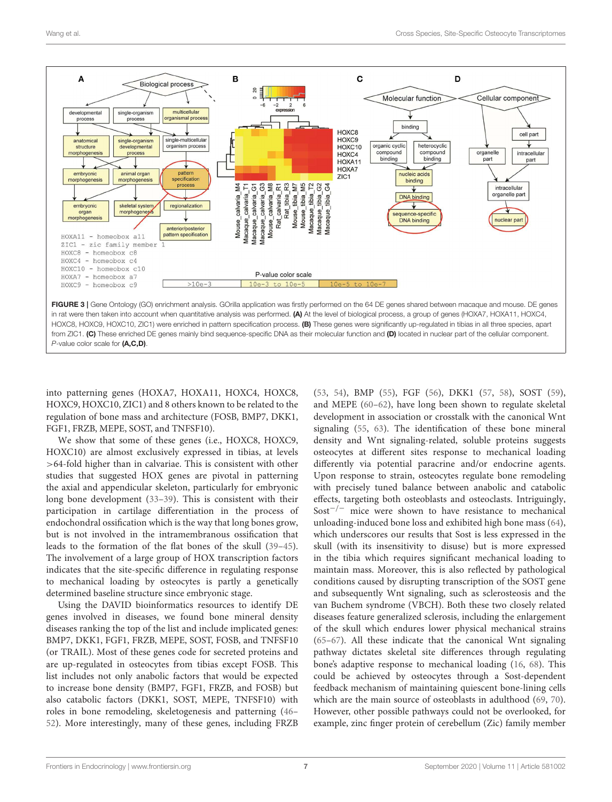<span id="page-7-0"></span>

into patterning genes (HOXA7, HOXA11, HOXC4, HOXC8, HOXC9, HOXC10, ZIC1) and 8 others known to be related to the regulation of bone mass and architecture (FOSB, BMP7, DKK1, FGF1, FRZB, MEPE, SOST, and TNFSF10).

We show that some of these genes (i.e., HOXC8, HOXC9, HOXC10) are almost exclusively expressed in tibias, at levels >64-fold higher than in calvariae. This is consistent with other studies that suggested HOX genes are pivotal in patterning the axial and appendicular skeleton, particularly for embryonic long bone development [\(33](#page-10-6)[–39\)](#page-10-7). This is consistent with their participation in cartilage differentiation in the process of endochondral ossification which is the way that long bones grow, but is not involved in the intramembranous ossification that leads to the formation of the flat bones of the skull [\(39–](#page-10-7)[45\)](#page-10-8). The involvement of a large group of HOX transcription factors indicates that the site-specific difference in regulating response to mechanical loading by osteocytes is partly a genetically determined baseline structure since embryonic stage.

Using the DAVID bioinformatics resources to identify DE genes involved in diseases, we found bone mineral density diseases ranking the top of the list and include implicated genes: BMP7, DKK1, FGF1, FRZB, MEPE, SOST, FOSB, and TNFSF10 (or TRAIL). Most of these genes code for secreted proteins and are up-regulated in osteocytes from tibias except FOSB. This list includes not only anabolic factors that would be expected to increase bone density (BMP7, FGF1, FRZB, and FOSB) but also catabolic factors (DKK1, SOST, MEPE, TNFSF10) with roles in bone remodeling, skeletogenesis and patterning [\(46–](#page-10-9) [52\)](#page-10-10). More interestingly, many of these genes, including FRZB [\(53,](#page-10-11) [54\)](#page-10-12), BMP [\(55\)](#page-10-13), FGF [\(56\)](#page-10-14), DKK1 [\(57,](#page-10-15) [58\)](#page-10-16), SOST [\(59\)](#page-10-17), and MEPE [\(60](#page-10-18)[–62\)](#page-10-19), have long been shown to regulate skeletal development in association or crosstalk with the canonical Wnt signaling [\(55,](#page-10-13) [63\)](#page-10-20). The identification of these bone mineral density and Wnt signaling-related, soluble proteins suggests osteocytes at different sites response to mechanical loading differently via potential paracrine and/or endocrine agents. Upon response to strain, osteocytes regulate bone remodeling with precisely tuned balance between anabolic and catabolic effects, targeting both osteoblasts and osteoclasts. Intriguingly, Sost−/<sup>−</sup> mice were shown to have resistance to mechanical unloading-induced bone loss and exhibited high bone mass [\(64\)](#page-10-21), which underscores our results that Sost is less expressed in the skull (with its insensitivity to disuse) but is more expressed in the tibia which requires significant mechanical loading to maintain mass. Moreover, this is also reflected by pathological conditions caused by disrupting transcription of the SOST gene and subsequently Wnt signaling, such as sclerosteosis and the van Buchem syndrome (VBCH). Both these two closely related diseases feature generalized sclerosis, including the enlargement of the skull which endures lower physical mechanical strains [\(65](#page-10-22)[–67\)](#page-10-23). All these indicate that the canonical Wnt signaling pathway dictates skeletal site differences through regulating bone's adaptive response to mechanical loading [\(16,](#page-9-26) [68\)](#page-10-24). This could be achieved by osteocytes through a Sost-dependent feedback mechanism of maintaining quiescent bone-lining cells which are the main source of osteoblasts in adulthood [\(69,](#page-11-0) [70\)](#page-11-1). However, other possible pathways could not be overlooked, for example, zinc finger protein of cerebellum (Zic) family member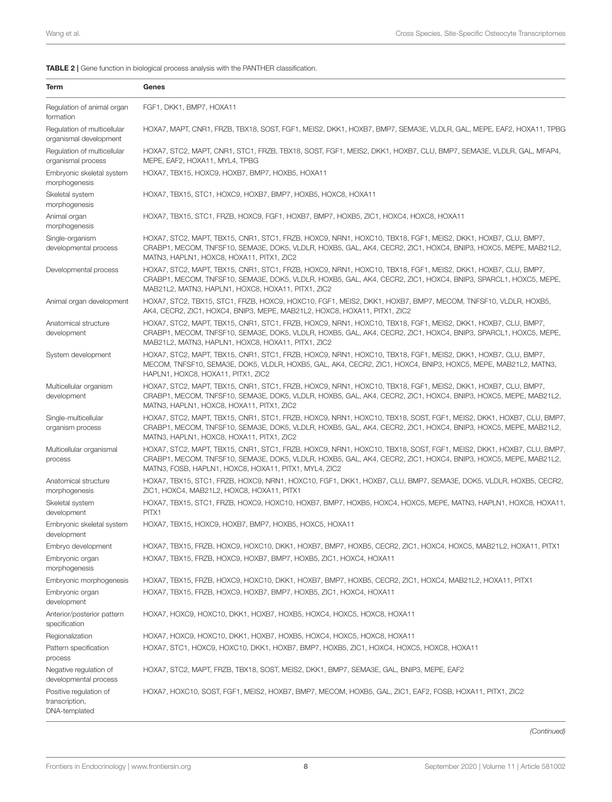TABLE 2 | Gene function in biological process analysis with the PANTHER classification.

<span id="page-8-0"></span>

| Term                                                      | Genes                                                                                                                                                                                                                                                                                         |
|-----------------------------------------------------------|-----------------------------------------------------------------------------------------------------------------------------------------------------------------------------------------------------------------------------------------------------------------------------------------------|
| Regulation of animal organ<br>formation                   | FGF1, DKK1, BMP7, HOXA11                                                                                                                                                                                                                                                                      |
| Regulation of multicellular<br>organismal development     | HOXA7, MAPT, CNR1, FRZB, TBX18, SOST, FGF1, MEIS2, DKK1, HOXB7, BMP7, SEMA3E, VLDLR, GAL, MEPE, EAF2, HOXA11, TPBG                                                                                                                                                                            |
| Regulation of multicellular<br>organismal process         | HOXA7, STC2, MAPT, CNR1, STC1, FRZB, TBX18, SOST, FGF1, MEIS2, DKK1, HOXB7, CLU, BMP7, SEMA3E, VLDLR, GAL, MFAP4,<br>MEPE, EAF2, HOXA11, MYL4, TPBG                                                                                                                                           |
| Embryonic skeletal system<br>morphogenesis                | HOXA7, TBX15, HOXC9, HOXB7, BMP7, HOXB5, HOXA11                                                                                                                                                                                                                                               |
| Skeletal system<br>morphogenesis                          | HOXA7, TBX15, STC1, HOXC9, HOXB7, BMP7, HOXB5, HOXC8, HOXA11                                                                                                                                                                                                                                  |
| Animal organ<br>morphogenesis                             | HOXA7, TBX15, STC1, FRZB, HOXC9, FGF1, HOXB7, BMP7, HOXB5, ZIC1, HOXC4, HOXC8, HOXA11                                                                                                                                                                                                         |
| Single-organism<br>developmental process                  | HOXA7, STC2, MAPT, TBX15, CNR1, STC1, FRZB, HOXC9, NRN1, HOXC10, TBX18, FGF1, MEIS2, DKK1, HOXB7, CLU, BMP7,<br>CRABP1, MECOM, TNFSF10, SEMA3E, DOK5, VLDLR, HOXB5, GAL, AK4, CECR2, ZIC1, HOXC4, BNIP3, HOXC5, MEPE, MAB21L2,<br>MATN3, HAPLN1, HOXC8, HOXA11, PITX1, ZIC2                   |
| Developmental process                                     | HOXA7, STC2, MAPT, TBX15, CNR1, STC1, FRZB, HOXC9, NRN1, HOXC10, TBX18, FGF1, MEIS2, DKK1, HOXB7, CLU, BMP7,<br>CRABP1, MECOM, TNFSF10, SEMA3E, DOK5, VLDLR, HOXB5, GAL, AK4, CECR2, ZIC1, HOXC4, BNIP3, SPARCL1, HOXC5, MEPE,<br>MAB21L2, MATN3, HAPLN1, HOXC8, HOXA11, PITX1, ZIC2          |
| Animal organ development                                  | HOXA7, STC2, TBX15, STC1, FRZB, HOXC9, HOXC10, FGF1, MEIS2, DKK1, HOXB7, BMP7, MECOM, TNFSF10, VLDLR, HOXB5,<br>AK4, CECR2, ZIC1, HOXC4, BNIP3, MEPE, MAB21L2, HOXC8, HOXA11, PITX1, ZIC2                                                                                                     |
| Anatomical structure<br>development                       | HOXA7, STC2, MAPT, TBX15, CNR1, STC1, FRZB, HOXC9, NRN1, HOXC10, TBX18, FGF1, MEIS2, DKK1, HOXB7, CLU, BMP7,<br>CRABP1, MECOM, TNFSF10, SEMA3E, DOK5, VLDLR, HOXB5, GAL, AK4, CECR2, ZIC1, HOXC4, BNIP3, SPARCL1, HOXC5, MEPE,<br>MAB21L2, MATN3, HAPLN1, HOXC8, HOXA11, PITX1, ZIC2          |
| System development                                        | HOXA7, STC2, MAPT, TBX15, CNR1, STC1, FRZB, HOXC9, NRN1, HOXC10, TBX18, FGF1, MEIS2, DKK1, HOXB7, CLU, BMP7,<br>MECOM, TNFSF10, SEMA3E, DOK5, VLDLR, HOXB5, GAL, AK4, CECR2, ZIC1, HOXC4, BNIP3, HOXC5, MEPE, MAB21L2, MATN3,<br>HAPLN1, HOXC8, HOXA11, PITX1, ZIC2                           |
| Multicellular organism<br>development                     | HOXA7, STC2, MAPT, TBX15, CNR1, STC1, FRZB, HOXC9, NRN1, HOXC10, TBX18, FGF1, MEIS2, DKK1, HOXB7, CLU, BMP7,<br>CRABP1, MECOM, TNFSF10, SEMA3E, DOK5, VLDLR, HOXB5, GAL, AK4, CECR2, ZIC1, HOXC4, BNIP3, HOXC5, MEPE, MAB21L2,<br>MATN3, HAPLN1, HOXC8, HOXA11, PITX1, ZIC2                   |
| Single-multicellular<br>organism process                  | HOXA7, STC2, MAPT, TBX15, CNR1, STC1, FRZB, HOXC9, NRN1, HOXC10, TBX18, SOST, FGF1, MEIS2, DKK1, HOXB7, CLU, BMP7,<br>CRABP1, MECOM, TNFSF10, SEMA3E, DOK5, VLDLR, HOXB5, GAL, AK4, CECR2, ZIC1, HOXC4, BNIP3, HOXC5, MEPE, MAB21L2,<br>MATN3, HAPLN1, HOXC8, HOXA11, PITX1, ZIC2             |
| Multicellular organismal<br>process                       | HOXA7, STC2, MAPT, TBX15, CNR1, STC1, FRZB, HOXC9, NRN1, HOXC10, TBX18, SOST, FGF1, MEIS2, DKK1, HOXB7, CLU, BMP7,<br>CRABP1, MECOM, TNFSF10, SEMA3E, DOK5, VLDLR, HOXB5, GAL, AK4, CECR2, ZIC1, HOXC4, BNIP3, HOXC5, MEPE, MAB21L2,<br>MATN3, FOSB, HAPLN1, HOXC8, HOXA11, PITX1, MYL4, ZIC2 |
| Anatomical structure<br>morphogenesis                     | HOXA7, TBX15, STC1, FRZB, HOXC9, NRN1, HOXC10, FGF1, DKK1, HOXB7, CLU, BMP7, SEMA3E, DOK5, VLDLR, HOXB5, CECR2,<br>ZIC1, HOXC4, MAB21L2, HOXC8, HOXA11, PITX1                                                                                                                                 |
| Skeletal system<br>development                            | HOXA7, TBX15, STC1, FRZB, HOXC9, HOXC10, HOXB7, BMP7, HOXB5, HOXC4, HOXC5, MEPE, MATN3, HAPLN1, HOXC8, HOXA11,<br>PITX1                                                                                                                                                                       |
| Embryonic skeletal system<br>development                  | HOXA7, TBX15, HOXC9, HOXB7, BMP7, HOXB5, HOXC5, HOXA11                                                                                                                                                                                                                                        |
| Embryo development                                        | HOXA7, TBX15, FRZB, HOXC9, HOXC10, DKK1, HOXB7, BMP7, HOXB5, CECR2, ZIC1, HOXC4, HOXC5, MAB21L2, HOXA11, PITX1                                                                                                                                                                                |
| Embryonic organ<br>morphogenesis                          | HOXA7, TBX15, FRZB, HOXC9, HOXB7, BMP7, HOXB5, ZIC1, HOXC4, HOXA11                                                                                                                                                                                                                            |
| Embryonic morphogenesis                                   | HOXA7, TBX15, FRZB, HOXC9, HOXC10, DKK1, HOXB7, BMP7, HOXB5, CECR2, ZIC1, HOXC4, MAB21L2, HOXA11, PITX1                                                                                                                                                                                       |
| Embryonic organ<br>development                            | HOXA7, TBX15, FRZB, HOXC9, HOXB7, BMP7, HOXB5, ZIC1, HOXC4, HOXA11                                                                                                                                                                                                                            |
| Anterior/posterior pattern<br>specification               | HOXA7, HOXC9, HOXC10, DKK1, HOXB7, HOXB5, HOXC4, HOXC5, HOXC8, HOXA11                                                                                                                                                                                                                         |
| Regionalization                                           | HOXA7, HOXC9, HOXC10, DKK1, HOXB7, HOXB5, HOXC4, HOXC5, HOXC8, HOXA11                                                                                                                                                                                                                         |
| Pattern specification<br>process                          | HOXA7, STC1, HOXC9, HOXC10, DKK1, HOXB7, BMP7, HOXB5, ZIC1, HOXC4, HOXC5, HOXC8, HOXA11                                                                                                                                                                                                       |
| Negative regulation of<br>developmental process           | HOXA7, STC2, MAPT, FRZB, TBX18, SOST, MEIS2, DKK1, BMP7, SEMA3E, GAL, BNIP3, MEPE, EAF2                                                                                                                                                                                                       |
| Positive regulation of<br>transcription,<br>DNA-templated | HOXA7, HOXC10, SOST, FGF1, MEIS2, HOXB7, BMP7, MECOM, HOXB5, GAL, ZIC1, EAF2, FOSB, HOXA11, PITX1, ZIC2                                                                                                                                                                                       |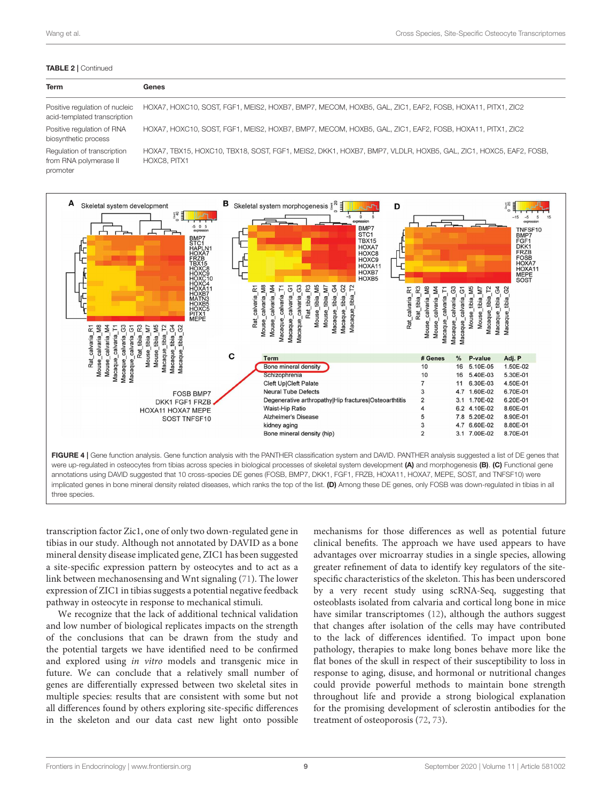#### TABLE 2 | Continued

| <b>Term</b>                                                       | Genes                                                                                                                          |
|-------------------------------------------------------------------|--------------------------------------------------------------------------------------------------------------------------------|
| Positive regulation of nucleic<br>acid-templated transcription    | HOXA7, HOXC10, SOST, FGF1, MEIS2, HOXB7, BMP7, MECOM, HOXB5, GAL, ZIC1, EAF2, FOSB, HOXA11, PITX1, ZIC2                        |
| Positive regulation of RNA<br>biosynthetic process                | HOXA7, HOXC10, SOST, FGF1, MEIS2, HOXB7, BMP7, MECOM, HOXB5, GAL, ZIC1, EAF2, FOSB, HOXA11, PITX1, ZIC2                        |
| Regulation of transcription<br>from RNA polymerase II<br>promoter | HOXA7, TBX15, HOXC10, TBX18, SOST, FGF1, MEIS2, DKK1, HOXB7, BMP7, VLDLR, HOXB5, GAL, ZIC1, HOXC5, EAF2, FOSB,<br>HOXC8, PITX1 |



<span id="page-9-7"></span><span id="page-9-6"></span><span id="page-9-5"></span><span id="page-9-4"></span><span id="page-9-3"></span><span id="page-9-2"></span><span id="page-9-1"></span><span id="page-9-0"></span>transcription factor Zic1, one of only two down-regulated gene in tibias in our study. Although not annotated by DAVID as a bone mineral density disease implicated gene, ZIC1 has been suggested a site-specific expression pattern by osteocytes and to act as a link between mechanosensing and Wnt signaling [\(71\)](#page-11-2). The lower expression of ZIC1 in tibias suggests a potential negative feedback pathway in osteocyte in response to mechanical stimuli.

<span id="page-9-11"></span><span id="page-9-10"></span><span id="page-9-9"></span><span id="page-9-8"></span>We recognize that the lack of additional technical validation and low number of biological replicates impacts on the strength of the conclusions that can be drawn from the study and the potential targets we have identified need to be confirmed and explored using in vitro models and transgenic mice in future. We can conclude that a relatively small number of genes are differentially expressed between two skeletal sites in multiple species: results that are consistent with some but not all differences found by others exploring site-specific differences in the skeleton and our data cast new light onto possible <span id="page-9-26"></span><span id="page-9-25"></span><span id="page-9-24"></span><span id="page-9-23"></span><span id="page-9-22"></span><span id="page-9-21"></span><span id="page-9-20"></span><span id="page-9-19"></span><span id="page-9-18"></span><span id="page-9-17"></span><span id="page-9-16"></span><span id="page-9-15"></span><span id="page-9-14"></span><span id="page-9-13"></span><span id="page-9-12"></span>mechanisms for those differences as well as potential future clinical benefits. The approach we have used appears to have advantages over microarray studies in a single species, allowing greater refinement of data to identify key regulators of the sitespecific characteristics of the skeleton. This has been underscored by a very recent study using scRNA-Seq, suggesting that osteoblasts isolated from calvaria and cortical long bone in mice have similar transcriptomes [\(12\)](#page-9-11), although the authors suggest that changes after isolation of the cells may have contributed to the lack of differences identified. To impact upon bone pathology, therapies to make long bones behave more like the flat bones of the skull in respect of their susceptibility to loss in response to aging, disuse, and hormonal or nutritional changes could provide powerful methods to maintain bone strength throughout life and provide a strong biological explanation for the promising development of sclerostin antibodies for the treatment of osteoporosis [\(72,](#page-11-3) [73\)](#page-11-4).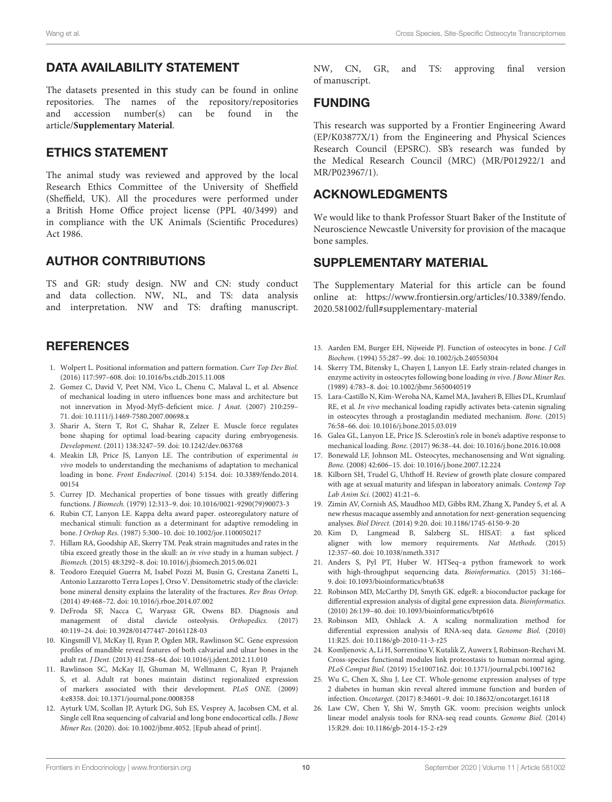### <span id="page-10-0"></span>DATA AVAILABILITY STATEMENT

<span id="page-10-1"></span>The datasets presented in this study can be found in online repositories. The names of the repository/repositories and accession number(s) can be found in the and accession number(s) can be found in the article/**[Supplementary Material](#page-9-17)**.

#### <span id="page-10-2"></span>ETHICS STATEMENT

<span id="page-10-4"></span><span id="page-10-3"></span>The animal study was reviewed and approved by the local Research Ethics Committee of the University of Sheffield (Sheffield, UK). All the procedures were performed under a British Home Office project license (PPL 40/3499) and in compliance with the UK Animals (Scientific Procedures) Act 1986.

#### <span id="page-10-5"></span>AUTHOR CONTRIBUTIONS

<span id="page-10-6"></span>TS and GR: study design. NW and CN: study conduct and data collection. NW, NL, and TS: data analysis and interpretation. NW and TS: drafting manuscript.

### **REFERENCES**

- 1. Wolpert L. Positional information and pattern formation. Curr Top Dev Biol. (2016) 117:597–608. doi: [10.1016/bs.ctdb.2015.11.008](https://doi.org/10.1016/bs.ctdb.2015.11.008)
- 2. Gomez C, David V, Peet NM, Vico L, Chenu C, Malaval L, et al. Absence of mechanical loading in utero influences bone mass and architecture but not innervation in Myod-Myf5-deficient mice. J Anat. (2007) 210:259– 71. doi: [10.1111/j.1469-7580.2007.00698.x](https://doi.org/10.1111/j.1469-7580.2007.00698.x)
- 3. Sharir A, Stern T, Rot C, Shahar R, Zelzer E. Muscle force regulates bone shaping for optimal load-bearing capacity during embryogenesis. Development. (2011) 138:3247–59. doi: [10.1242/dev.063768](https://doi.org/10.1242/dev.063768)
- <span id="page-10-7"></span>4. Meakin LB, Price JS, Lanyon LE. The contribution of experimental in vivo models to understanding the mechanisms of adaptation to mechanical loading in bone. Front Endocrinol. [\(2014\) 5:154. doi: 10.3389/fendo.2014.](https://doi.org/10.3389/fendo.2014.00154) 00154
- 5. Currey JD. Mechanical properties of bone tissues with greatly differing functions. J Biomech. (1979) 12:313–9. doi: [10.1016/0021-9290\(79\)90073-3](https://doi.org/10.1016/0021-9290(79)90073-3)
- 6. Rubin CT, Lanyon LE. Kappa delta award paper. osteoregulatory nature of mechanical stimuli: function as a determinant for adaptive remodeling in bone. J Orthop Res. (1987) 5:300–10. doi: [10.1002/jor.1100050217](https://doi.org/10.1002/jor.1100050217)
- 7. Hillam RA, Goodship AE, Skerry TM. Peak strain magnitudes and rates in the tibia exceed greatly those in the skull: an in vivo study in a human subject. J Biomech. (2015) 48:3292–8. doi: [10.1016/j.jbiomech.2015.06.021](https://doi.org/10.1016/j.jbiomech.2015.06.021)
- 8. Teodoro Ezequiel Guerra M, Isabel Pozzi M, Busin G, Crestana Zanetti L, Antonio Lazzarotto Terra Lopes J, Orso V. Densitometric study of the clavicle: bone mineral density explains the laterality of the fractures. Rev Bras Ortop. (2014) 49:468–72. doi: [10.1016/j.rboe.2014.07.002](https://doi.org/10.1016/j.rboe.2014.07.002)
- 9. DeFroda SF, Nacca C, Waryasz GR, Owens BD. Diagnosis and management of distal clavicle osteolysis. Orthopedics. (2017) 40:119–24. doi: [10.3928/01477447-20161128-03](https://doi.org/10.3928/01477447-20161128-03)
- <span id="page-10-8"></span>10. Kingsmill VJ, McKay IJ, Ryan P, Ogden MR, Rawlinson SC. Gene expression profiles of mandible reveal features of both calvarial and ulnar bones in the adult rat. J Dent. (2013) 41:258–64. doi: [10.1016/j.jdent.2012.11.010](https://doi.org/10.1016/j.jdent.2012.11.010)
- <span id="page-10-9"></span>11. Rawlinson SC, McKay IJ, Ghuman M, Wellmann C, Ryan P, Prajaneh S, et al. Adult rat bones maintain distinct regionalized expression of markers associated with their development. PLoS ONE. (2009) 4:e8358. doi: [10.1371/journal.pone.0008358](https://doi.org/10.1371/journal.pone.0008358)
- 12. Ayturk UM, Scollan JP, Ayturk DG, Suh ES, Vesprey A, Jacobsen CM, et al. Single cell Rna sequencing of calvarial and long bone endocortical cells. J Bone Miner Res. (2020). doi: [10.1002/jbmr.4052.](https://doi.org/10.1002/jbmr.4052) [Epub ahead of print].

NW, CN, GR, and TS: approving final version of manuscript.

#### FUNDING

This research was supported by a Frontier Engineering Award (EP/K03877X/1) from the Engineering and Physical Sciences Research Council (EPSRC). SB's research was funded by the Medical Research Council (MRC) (MR/P012922/1 and MR/P023967/1).

### ACKNOWLEDGMENTS

<span id="page-10-10"></span>We would like to thank Professor Stuart Baker of the Institute of Neuroscience Newcastle University for provision of the macaque bone samples.

### <span id="page-10-11"></span>SUPPLEMENTARY MATERIAL

<span id="page-10-12"></span>The Supplementary Material for this article can be found [online at: https://www.frontiersin.org/articles/10.3389/fendo.](https://www.frontiersin.org/articles/10.3389/fendo.2020.581002/full#supplementary-material) 2020.581002/full#supplementary-material

- <span id="page-10-14"></span><span id="page-10-13"></span>13. Aarden EM, Burger EH, Nijweide PJ. Function of osteocytes in bone. J Cell Biochem. (1994) 55:287–99. doi: [10.1002/jcb.240550304](https://doi.org/10.1002/jcb.240550304)
- <span id="page-10-15"></span>14. Skerry TM, Bitensky L, Chayen J, Lanyon LE. Early strain-related changes in enzyme activity in osteocytes following bone loading in vivo. J Bone Miner Res. (1989) 4:783–8. doi: [10.1002/jbmr.5650040519](https://doi.org/10.1002/jbmr.5650040519)
- <span id="page-10-16"></span>15. Lara-Castillo N, Kim-Weroha NA, Kamel MA, Javaheri B, Ellies DL, Krumlauf RE, et al. In vivo mechanical loading rapidly activates beta-catenin signaling in osteocytes through a prostaglandin mediated mechanism. Bone. (2015) 76:58–66. doi: [10.1016/j.bone.2015.03.019](https://doi.org/10.1016/j.bone.2015.03.019)
- <span id="page-10-17"></span>16. Galea GL, Lanyon LE, Price JS. Sclerostin's role in bone's adaptive response to mechanical loading. Bone. (2017) 96:38–44. doi: [10.1016/j.bone.2016.10.008](https://doi.org/10.1016/j.bone.2016.10.008)
- 17. Bonewald LF, Johnson ML. Osteocytes, mechanosensing and Wnt signaling. Bone. (2008) 42:606–15. doi: [10.1016/j.bone.2007.12.224](https://doi.org/10.1016/j.bone.2007.12.224)
- <span id="page-10-18"></span>18. Kilborn SH, Trudel G, Uhthoff H. Review of growth plate closure compared with age at sexual maturity and lifespan in laboratory animals. Contemp Top Lab Anim Sci. (2002) 41:21–6.
- 19. Zimin AV, Cornish AS, Maudhoo MD, Gibbs RM, Zhang X, Pandey S, et al. A new rhesus macaque assembly and annotation for next-generation sequencing analyses. Biol Direct. (2014) 9:20. doi: [10.1186/1745-6150-9-20](https://doi.org/10.1186/1745-6150-9-20)
- <span id="page-10-19"></span>20. Kim D, Langmead B, Salzberg SL. HISAT: a fast spliced aligner with low memory requirements. Nat Methods. (2015) 12:357–60. doi: [10.1038/nmeth.3317](https://doi.org/10.1038/nmeth.3317)
- 21. Anders S, Pyl PT, Huber W. HTSeq–a python framework to work with high-throughput sequencing data. Bioinformatics. (2015) 31:166– 9. doi: [10.1093/bioinformatics/btu638](https://doi.org/10.1093/bioinformatics/btu638)
- <span id="page-10-21"></span><span id="page-10-20"></span>22. Robinson MD, McCarthy DJ, Smyth GK. edgeR: a bioconductor package for differential expression analysis of digital gene expression data. Bioinformatics. (2010) 26:139–40. doi: [10.1093/bioinformatics/btp616](https://doi.org/10.1093/bioinformatics/btp616)
- <span id="page-10-22"></span>23. Robinson MD, Oshlack A. A scaling normalization method for differential expression analysis of RNA-seq data. Genome Biol. (2010) 11:R25. doi: [10.1186/gb-2010-11-3-r25](https://doi.org/10.1186/gb-2010-11-3-r25)
- 24. Komljenovic A, Li H, Sorrentino V, Kutalik Z, Auwerx J, Robinson-Rechavi M. Cross-species functional modules link proteostasis to human normal aging. PLoS Comput Biol. (2019) 15:e1007162. doi: [10.1371/journal.pcbi.1007162](https://doi.org/10.1371/journal.pcbi.1007162)
- 25. Wu C, Chen X, Shu J, Lee CT. Whole-genome expression analyses of type 2 diabetes in human skin reveal altered immune function and burden of infection. Oncotarget. (2017) 8:34601–9. doi: [10.18632/oncotarget.16118](https://doi.org/10.18632/oncotarget.16118)
- <span id="page-10-24"></span><span id="page-10-23"></span>26. Law CW, Chen Y, Shi W, Smyth GK. voom: precision weights unlock linear model analysis tools for RNA-seq read counts. Genome Biol. (2014) 15:R29. doi: [10.1186/gb-2014-15-2-r29](https://doi.org/10.1186/gb-2014-15-2-r29)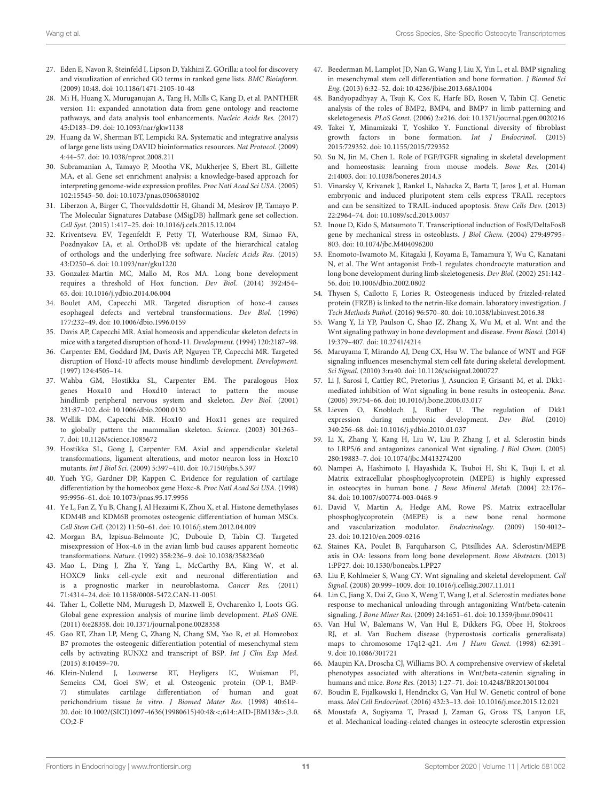- 27. Eden E, Navon R, Steinfeld I, Lipson D, Yakhini Z. GOrilla: a tool for discovery and visualization of enriched GO terms in ranked gene lists. BMC Bioinform. (2009) 10:48. doi: [10.1186/1471-2105-10-48](https://doi.org/10.1186/1471-2105-10-48)
- <span id="page-11-0"></span>28. Mi H, Huang X, Muruganujan A, Tang H, Mills C, Kang D, et al. PANTHER version 11: expanded annotation data from gene ontology and reactome pathways, and data analysis tool enhancements. Nucleic Acids Res. (2017) 45:D183–D9. doi: [10.1093/nar/gkw1138](https://doi.org/10.1093/nar/gkw1138)
- <span id="page-11-1"></span>29. Huang da W, Sherman BT, Lempicki RA. Systematic and integrative analysis of large gene lists using DAVID bioinformatics resources. Nat Protocol. (2009) 4:44–57. doi: [10.1038/nprot.2008.211](https://doi.org/10.1038/nprot.2008.211)
- <span id="page-11-2"></span>30. Subramanian A, Tamayo P, Mootha VK, Mukherjee S, Ebert BL, Gillette MA, et al. Gene set enrichment analysis: a knowledge-based approach for interpreting genome-wide expression profiles. Proc Natl Acad Sci USA. (2005) 102:15545–50. doi: [10.1073/pnas.0506580102](https://doi.org/10.1073/pnas.0506580102)
- <span id="page-11-3"></span>31. Liberzon A, Birger C, Thorvaldsdottir H, Ghandi M, Mesirov JP, Tamayo P. The Molecular Signatures Database (MSigDB) hallmark gene set collection. Cell Syst. (2015) 1:417–25. doi: [10.1016/j.cels.2015.12.004](https://doi.org/10.1016/j.cels.2015.12.004)
- 32. Kriventseva EV, Tegenfeldt F, Petty TJ, Waterhouse RM, Simao FA, Pozdnyakov IA, et al. OrthoDB v8: update of the hierarchical catalog of orthologs and the underlying free software. Nucleic Acids Res. (2015) 43:D250–6. doi: [10.1093/nar/gku1220](https://doi.org/10.1093/nar/gku1220)
- 33. Gonzalez-Martin MC, Mallo M, Ros MA. Long bone development requires a threshold of Hox function. Dev Biol. (2014) 392:454– 65. doi: [10.1016/j.ydbio.2014.06.004](https://doi.org/10.1016/j.ydbio.2014.06.004)
- 34. Boulet AM, Capecchi MR. Targeted disruption of hoxc-4 causes esophageal defects and vertebral transformations. Dev Biol. (1996) 177:232–49. doi: [10.1006/dbio.1996.0159](https://doi.org/10.1006/dbio.1996.0159)
- 35. Davis AP, Capecchi MR. Axial homeosis and appendicular skeleton defects in mice with a targeted disruption of hoxd-11. Development. (1994) 120:2187–98.
- 36. Carpenter EM, Goddard JM, Davis AP, Nguyen TP, Capecchi MR. Targeted disruption of Hoxd-10 affects mouse hindlimb development. Development. (1997) 124:4505–14.
- 37. Wahba GM, Hostikka SL, Carpenter EM. The paralogous Hox genes Hoxa10 and Hoxd10 interact to pattern the mouse hindlimb peripheral nervous system and skeleton. Dev Biol. (2001) 231:87–102. doi: [10.1006/dbio.2000.0130](https://doi.org/10.1006/dbio.2000.0130)
- 38. Wellik DM, Capecchi MR. Hox10 and Hox11 genes are required to globally pattern the mammalian skeleton. Science. (2003) 301:363– 7. doi: [10.1126/science.1085672](https://doi.org/10.1126/science.1085672)
- 39. Hostikka SL, Gong J, Carpenter EM. Axial and appendicular skeletal transformations, ligament alterations, and motor neuron loss in Hoxc10 mutants. Int J Biol Sci. (2009) 5:397–410. doi: [10.7150/ijbs.5.397](https://doi.org/10.7150/ijbs.5.397)
- 40. Yueh YG, Gardner DP, Kappen C. Evidence for regulation of cartilage differentiation by the homeobox gene Hoxc-8. Proc Natl Acad Sci USA. (1998) 95:9956–61. doi: [10.1073/pnas.95.17.9956](https://doi.org/10.1073/pnas.95.17.9956)
- 41. Ye L, Fan Z, Yu B, Chang J, Al Hezaimi K, Zhou X, et al. Histone demethylases KDM4B and KDM6B promotes osteogenic differentiation of human MSCs. Cell Stem Cell. (2012) 11:50–61. doi: [10.1016/j.stem.2012.04.009](https://doi.org/10.1016/j.stem.2012.04.009)
- 42. Morgan BA, Izpisua-Belmonte JC, Duboule D, Tabin CJ. Targeted misexpression of Hox-4.6 in the avian limb bud causes apparent homeotic transformations. Nature. (1992) 358:236–9. doi: [10.1038/358236a0](https://doi.org/10.1038/358236a0)
- 43. Mao L, Ding J, Zha Y, Yang L, McCarthy BA, King W, et al. HOXC9 links cell-cycle exit and neuronal differentiation and is a prognostic marker in neuroblastoma. Cancer Res. (2011) 71:4314–24. doi: [10.1158/0008-5472.CAN-11-0051](https://doi.org/10.1158/0008-5472.CAN-11-0051)
- 44. Taher L, Collette NM, Murugesh D, Maxwell E, Ovcharenko I, Loots GG. Global gene expression analysis of murine limb development. PLoS ONE. (2011) 6:e28358. doi: [10.1371/journal.pone.0028358](https://doi.org/10.1371/journal.pone.0028358)
- 45. Gao RT, Zhan LP, Meng C, Zhang N, Chang SM, Yao R, et al. Homeobox B7 promotes the osteogenic differentiation potential of mesenchymal stem cells by activating RUNX2 and transcript of BSP. Int J Clin Exp Med. (2015) 8:10459–70.
- 46. Klein-Nulend J, Louwerse RT, Heyligers IC, Wuisman PI, Semeins CM, Goei SW, et al. Osteogenic protein (OP-1, BMP-7) stimulates cartilage differentiation of human and goat perichondrium tissue in vitro. J Biomed Mater Res. (1998) 40:614– [20. doi: 10.1002/\(SICI\)1097-4636\(19980615\)40:4&](https://doi.org/10.1002/(SICI)1097-4636(19980615)40:4&$<$;614::AID-JBM13&$>$;3.0.CO;2-F)<;614::AID-JBM13&>;3.0.  $CO;2-F$
- 47. Beederman M, Lamplot JD, Nan G, Wang J, Liu X, Yin L, et al. BMP signaling in mesenchymal stem cell differentiation and bone formation. J Biomed Sci Eng. (2013) 6:32–52. doi: [10.4236/jbise.2013.68A1004](https://doi.org/10.4236/jbise.2013.68A1004)
- <span id="page-11-4"></span>48. Bandyopadhyay A, Tsuji K, Cox K, Harfe BD, Rosen V, Tabin CJ. Genetic analysis of the roles of BMP2, BMP4, and BMP7 in limb patterning and skeletogenesis. PLoS Genet. (2006) 2:e216. doi: [10.1371/journal.pgen.0020216](https://doi.org/10.1371/journal.pgen.0020216)
- 49. Takei Y, Minamizaki T, Yoshiko Y. Functional diversity of fibroblast growth factors in bone formation. Int J Endocrinol. (2015) 2015:729352. doi: [10.1155/2015/729352](https://doi.org/10.1155/2015/729352)
- 50. Su N, Jin M, Chen L. Role of FGF/FGFR signaling in skeletal development and homeostasis: learning from mouse models. Bone Res. (2014) 2:14003. doi: [10.1038/boneres.2014.3](https://doi.org/10.1038/boneres.2014.3)
- 51. Vinarsky V, Krivanek J, Rankel L, Nahacka Z, Barta T, Jaros J, et al. Human embryonic and induced pluripotent stem cells express TRAIL receptors and can be sensitized to TRAIL-induced apoptosis. Stem Cells Dev. (2013) 22:2964–74. doi: [10.1089/scd.2013.0057](https://doi.org/10.1089/scd.2013.0057)
- 52. Inoue D, Kido S, Matsumoto T. Transcriptional induction of FosB/DeltaFosB gene by mechanical stress in osteoblasts. J Biol Chem. (2004) 279:49795– 803. doi: [10.1074/jbc.M404096200](https://doi.org/10.1074/jbc.M404096200)
- 53. Enomoto-Iwamoto M, Kitagaki J, Koyama E, Tamamura Y, Wu C, Kanatani N, et al. The Wnt antagonist Frzb-1 regulates chondrocyte maturation and long bone development during limb skeletogenesis. Dev Biol. (2002) 251:142– 56. doi: [10.1006/dbio.2002.0802](https://doi.org/10.1006/dbio.2002.0802)
- 54. Thysen S, Cailotto F, Lories R. Osteogenesis induced by frizzled-related protein (FRZB) is linked to the netrin-like domain. laboratory investigation. J Tech Methods Pathol. (2016) 96:570–80. doi: [10.1038/labinvest.2016.38](https://doi.org/10.1038/labinvest.2016.38)
- 55. Wang Y, Li YP, Paulson C, Shao JZ, Zhang X, Wu M, et al. Wnt and the Wnt signaling pathway in bone development and disease. Front Biosci. (2014) 19:379–407. doi: [10.2741/4214](https://doi.org/10.2741/4214)
- 56. Maruyama T, Mirando AJ, Deng CX, Hsu W. The balance of WNT and FGF signaling influences mesenchymal stem cell fate during skeletal development. Sci Signal. (2010) 3:ra40. doi: [10.1126/scisignal.2000727](https://doi.org/10.1126/scisignal.2000727)
- 57. Li J, Sarosi I, Cattley RC, Pretorius J, Asuncion F, Grisanti M, et al. Dkk1 mediated inhibition of Wnt signaling in bone results in osteopenia. Bone. (2006) 39:754–66. doi: [10.1016/j.bone.2006.03.017](https://doi.org/10.1016/j.bone.2006.03.017)
- 58. Lieven O, Knobloch J, Ruther U. The regulation of Dkk1 expression during embryonic development. Dev Biol. (2010) 340:256–68. doi: [10.1016/j.ydbio.2010.01.037](https://doi.org/10.1016/j.ydbio.2010.01.037)
- 59. Li X, Zhang Y, Kang H, Liu W, Liu P, Zhang J, et al. Sclerostin binds to LRP5/6 and antagonizes canonical Wnt signaling. J Biol Chem. (2005) 280:19883–7. doi: [10.1074/jbc.M413274200](https://doi.org/10.1074/jbc.M413274200)
- 60. Nampei A, Hashimoto J, Hayashida K, Tsuboi H, Shi K, Tsuji I, et al. Matrix extracellular phosphoglycoprotein (MEPE) is highly expressed in osteocytes in human bone. J Bone Mineral Metab. (2004) 22:176– 84. doi: [10.1007/s00774-003-0468-9](https://doi.org/10.1007/s00774-003-0468-9)
- 61. David V, Martin A, Hedge AM, Rowe PS. Matrix extracellular phosphoglycoprotein (MEPE) is a new bone renal hormone and vascularization modulator. Endocrinology. (2009) 150:4012– 23. doi: [10.1210/en.2009-0216](https://doi.org/10.1210/en.2009-0216)
- 62. Staines KA, Poulet B, Farquharson C, Pitsillides AA. Sclerostin/MEPE axis in OA: lessons from long bone development. Bone Abstracts. (2013) 1:PP27. doi: [10.1530/boneabs.1.PP27](https://doi.org/10.1530/boneabs.1.PP27)
- 63. Liu F, Kohlmeier S, Wang CY. Wnt signaling and skeletal development. Cell Signal. (2008) 20:999–1009. doi: [10.1016/j.cellsig.2007.11.011](https://doi.org/10.1016/j.cellsig.2007.11.011)
- 64. Lin C, Jiang X, Dai Z, Guo X, Weng T, Wang J, et al. Sclerostin mediates bone response to mechanical unloading through antagonizing Wnt/beta-catenin signaling. J Bone Miner Res. (2009) 24:1651–61. doi: [10.1359/jbmr.090411](https://doi.org/10.1359/jbmr.090411)
- 65. Van Hul W, Balemans W, Van Hul E, Dikkers FG, Obee H, Stokroos RJ, et al. Van Buchem disease (hyperostosis corticalis generalisata) maps to chromosome 17q12-q21. Am J Hum Genet. (1998) 62:391– 9. doi: [10.1086/301721](https://doi.org/10.1086/301721)
- 66. Maupin KA, Droscha CJ, Williams BO. A comprehensive overview of skeletal phenotypes associated with alterations in Wnt/beta-catenin signaling in humans and mice. Bone Res. (2013) 1:27–71. doi: [10.4248/BR201301004](https://doi.org/10.4248/BR201301004)
- 67. Boudin E, Fijalkowski I, Hendrickx G, Van Hul W. Genetic control of bone mass. Mol Cell Endocrinol. (2016) 432:3–13. doi: [10.1016/j.mce.2015.12.021](https://doi.org/10.1016/j.mce.2015.12.021)
- 68. Moustafa A, Sugiyama T, Prasad J, Zaman G, Gross TS, Lanyon LE, et al. Mechanical loading-related changes in osteocyte sclerostin expression